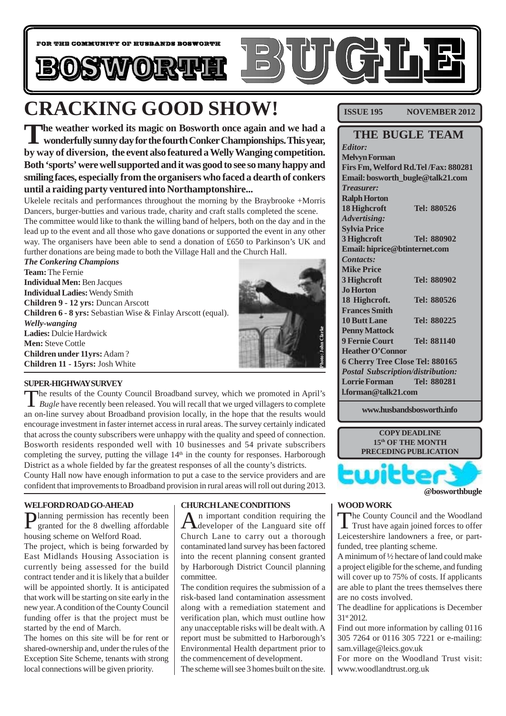

# **CRACKING GOOD SHOW!**

**The weather worked its magic on Bosworth once again and we had a wonderfully sunny day for the fourth Conker Championships. This year, by way of diversion, the event also featured a Welly Wanging competition. Both 'sports' were well supported and it was good to see so many happy and smiling faces, especially from the organisers who faced a dearth of conkers until a raiding party ventured into Northamptonshire...**

Ukelele recitals and performances throughout the morning by the Braybrooke +Morris Dancers, burger-butties and various trade, charity and craft stalls completed the scene. The committee would like to thank the willing band of helpers, both on the day and in the lead up to the event and all those who gave donations or supported the event in any other way. The organisers have been able to send a donation of £650 to Parkinson's UK and further donations are being made to both the Village Hall and the Church Hall.

*The Conkering Champions* **Team:** The Fernie **Individual Men:** Ben Jacques **Individual Ladies:** Wendy Smith **Children 9 - 12 yrs:** Duncan Arscott **Children 6 - 8 yrs:** Sebastian Wise & Finlay Arscott (equal). *Welly-wanging* **Ladies:** Dulcie Hardwick **Men:** Steve Cottle **Children under 11yrs:** Adam ? **Children 11 - 15yrs:** Josh White



#### **SUPER-HIGHWAY SURVEY**

The results of the County Council Broadband survey, which we promoted in April's *Bugle* have recently been released. You will recall that we urged villagers to complete an on-line survey about Broadband provision locally, in the hope that the results would encourage investment in faster internet access in rural areas. The survey certainly indicated that across the county subscribers were unhappy with the quality and speed of connection. Bosworth residents responded well with 10 businesses and 54 private subscribers completing the survey, putting the village  $14<sup>th</sup>$  in the county for responses. Harborough District as a whole fielded by far the greatest responses of all the county's districts. **Ladies:** Dulcie Hardwick<br> **Children under 11yrs:** Adam?<br> **Children 11 - 15yrs:** Josh White<br> **SUPER-HIGHWAYSURVEY**<br> **The results of the County Council Broadband survey, which we promoted in April's<br>
<b>SUPER-HIGHWAYSURVEY**<br>

County Hall now have enough information to put a case to the service providers and are

#### **WELFORD ROAD GO-AHEAD**

Planning permission has recently been granted for the 8 dwelling affordable housing scheme on Welford Road.

The project, which is being forwarded by East Midlands Housing Association is currently being assessed for the build contract tender and it is likely that a builder will be appointed shortly. It is anticipated that work will be starting on site early in the new year. A condition of the County Council funding offer is that the project must be started by the end of March.

The homes on this site will be for rent or shared-ownership and, under the rules of the Exception Site Scheme, tenants with strong local connections will be given priority.

#### **CHURCH LANE CONDITIONS**

An important condition requiring the developer of the Languard site off Church Lane to carry out a thorough contaminated land survey has been factored into the recent planning consent granted by Harborough District Council planning committee.

The condition requires the submission of a risk-based land contamination assessment along with a remediation statement and verification plan, which must outline how any unacceptable risks will be dealt with. A report must be submitted to Harborough's Environmental Health department prior to the commencement of development.

The scheme will see 3 homes built on the site.

**ISSUE 195 NOVEMBER 2012** 

| <b>THE BUGLE TEAM</b>                    |  |  |  |  |
|------------------------------------------|--|--|--|--|
|                                          |  |  |  |  |
|                                          |  |  |  |  |
| Firs Fm, Welford Rd.Tel/Fax: 880281      |  |  |  |  |
| Email: bosworth_bugle@talk21.com         |  |  |  |  |
|                                          |  |  |  |  |
|                                          |  |  |  |  |
| Tel: 880526                              |  |  |  |  |
|                                          |  |  |  |  |
|                                          |  |  |  |  |
| <b>Tel: 880902</b>                       |  |  |  |  |
| Email: hiprice@btinternet.com            |  |  |  |  |
|                                          |  |  |  |  |
|                                          |  |  |  |  |
| <b>Tel: 880902</b>                       |  |  |  |  |
|                                          |  |  |  |  |
| Tel: 880526                              |  |  |  |  |
|                                          |  |  |  |  |
| Tel: 880225                              |  |  |  |  |
|                                          |  |  |  |  |
| <b>Tel: 881140</b>                       |  |  |  |  |
|                                          |  |  |  |  |
| 6 Cherry Tree Close Tel: 880165          |  |  |  |  |
| <b>Postal Subscription/distribution:</b> |  |  |  |  |
| Tel: 880281                              |  |  |  |  |
| $1.$ forman@talk21.com                   |  |  |  |  |
|                                          |  |  |  |  |

**www.husbandsbosworth.info**



#### **@bosworthbugle**

#### **WOOD WORK**

The County Council and the Woodland<br>Trust have again joined forces to offer Leicestershire landowners a free, or partfunded, tree planting scheme.

A minimum of ½ hectare of land could make a project eligible for the scheme, and funding will cover up to 75% of costs. If applicants are able to plant the trees themselves there are no costs involved.

The deadline for applications is December 31st 2012.

Find out more information by calling 0116 305 7264 or 0116 305 7221 or e-mailing: sam.village@leics.gov.uk

For more on the Woodland Trust visit: www.woodlandtrust.org.uk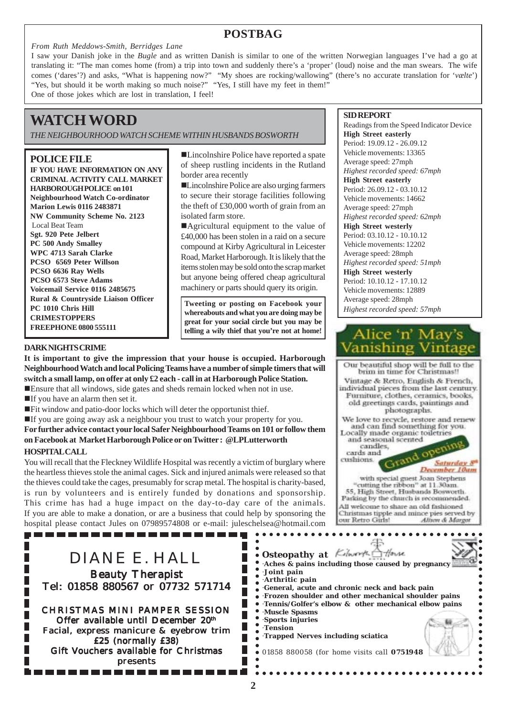### **POSTBAG**

#### *From Ruth Meddows-Smith, Berridges Lane*

I saw your Danish joke in the *Bugle* and as written Danish is similar to one of the written Norwegian languages I've had a go at translating it: "The man comes home (from) a trip into town and suddenly there's a 'proper' (loud) noise and the man swears. The wife comes ('dares'?) and asks, "What is happening now?" "My shoes are rocking/wallowing" (there's no accurate translation for '*vælte*') "Yes, but should it be worth making so much noise?" "Yes, I still have my feet in them!" One of those jokes which are lost in translation, I feel!

## **WATCH WORD**

*THE NEIGHBOURHOOD WATCH SCHEME WITHIN HUSBANDS BOSWORTH*

#### **POLICE FILE**

**IF YOU HAVE INFORMATION ON ANY CRIMINAL ACTIVITY CALL MARKET HARBOROUGH POLICE on 101 Neighbourhood Watch Co-ordinator Marion Lewis 0116 2483871 NW Community Scheme No. 2123** Local Beat Team **Sgt. 920 Pete Jelbert PC 500 Andy Smalley WPC 4713 Sarah Clarke PCSO 6569 Peter Willson PCSO 6636 Ray Wells PCSO 6573 Steve Adams Voicemail Service 0116 2485675 Rural & Countryside Liaison Officer PC 1010 Chris Hill CRIMESTOPPERS FREEPHONE 0800 555111**

■Lincolnshire Police have reported a spate of sheep rustling incidents in the Rutland border area recently

!Lincolnshire Police are also urging farmers to secure their storage facilities following the theft of £30,000 worth of grain from an isolated farm store.

■Agricultural equipment to the value of £40,000 has been stolen in a raid on a secure compound at Kirby Agricultural in Leicester Road, Market Harborough. It is likely that the items stolen may be sold onto the scrap market but anyone being offered cheap agricultural machinery or parts should query its origin.

**Tweeting or posting on Facebook your whereabouts and what you are doing may be great for your social circle but you may be telling a wily thief that you're not at home!**

#### **DARK NIGHTS CRIME**

**It is important to give the impression that your house is occupied. Harborough Neighbourhood Watch and local Policing Teams have a number of simple timers that will switch a small lamp, on offer at only £2 each - call in at Harborough Police Station. E** Ensure that all windows, side gates and sheds remain locked when not in use.

- $\blacksquare$ If you have an alarm then set it.
- !Fit window and patio-door locks which will deter the opportunist thief.

!If you are going away ask a neighbour you trust to watch your property for you.

**For further advice contact your local Safer Neighbourhood Teams on 101 or follow them on Facebook at Market Harborough Police or on Twitter : @LPLutterworth**

#### **HOSPITAL CALL**

You will recall that the Fleckney Wildlife Hospital was recently a victim of burglary where the heartless thieves stole the animal cages. Sick and injured animals were released so that the thieves could take the cages, presumably for scrap metal. The hospital is charity-based, is run by volunteers and is entirely funded by donations and sponsorship. This crime has had a huge impact on the day-to-day care of the animals. If you are able to make a donation, or are a business that could help by sponsoring the hospital please contact Jules on 07989574808 or e-mail: juleschelsea@hotmail.com

..............

| DIANE E. HALL<br><b>Beauty Therapist</b><br>Tel: 01858 880567 or 07732 571714<br><b>CHRISTMAS MINI PAMPER SESSION</b><br>Offer available until December 20th<br>Facial, express manicure & eyebrow trim<br>£25 (normally £38)<br>Gift Vouchers available for Christmas<br>presents | . Osteopathy at Kilworth Allowse<br>Aches & pains including those caused by pregnancy<br>Joint pain<br>$\Delta$ Arthritic pain<br>General, acute and chronic neck and back pain<br>• Frozen shoulder and other mechanical shoulder pains<br>• Tennis/Golfer's elbow & other mechanical elbow pains<br>• Muscle Spasms<br>Sports injuries<br>Tension<br>Trapped Nerves including sciatica<br>· 01858 880058 (for home visits call 0751948 |
|------------------------------------------------------------------------------------------------------------------------------------------------------------------------------------------------------------------------------------------------------------------------------------|------------------------------------------------------------------------------------------------------------------------------------------------------------------------------------------------------------------------------------------------------------------------------------------------------------------------------------------------------------------------------------------------------------------------------------------|
|                                                                                                                                                                                                                                                                                    |                                                                                                                                                                                                                                                                                                                                                                                                                                          |

#### **SID REPORT**

Readings from the Speed Indicator Device **High Street easterly** Period: 19.09.12 - 26.09.12 Vehicle movements: 13365 Average speed: 27mph *Highest recorded speed: 67mph* **High Street easterly** Period: 26.09.12 - 03.10.12 Vehicle movements: 14662 Average speed: 27mph *Highest recorded speed: 62mph* **High Street westerly** Period: 03.10.12 - 10.10.12 Vehicle movements: 12202 Average speed: 28mph *Highest recorded speed: 51mph* **High Street westerly** Period: 10.10.12 - 17.10.12 Vehicle movements: 12889 Average speed: 28mph *Highest recorded speed: 57mph*



Vintage & Retro, English & French, individual pieces from the last century. Furniture, clothes, ceramics, books, old greetings cards, paintings and photographs. We love to recycle, restore and renew and can find something for you. Locally made organic toiletries and seasonal scented

candles, cards and

cushions.

our Retro Girls!

ening

Alison & Margot

Saturday 8 December 10am

 $\circ$ 

with special guest Joan Stephens<br>cutting the ribbon" at 11.30am. 55, High Street, Husbands Bosworth. Parking by the church is recommended. All welcome to share an old fashioned Christmas tipple and mince pies served by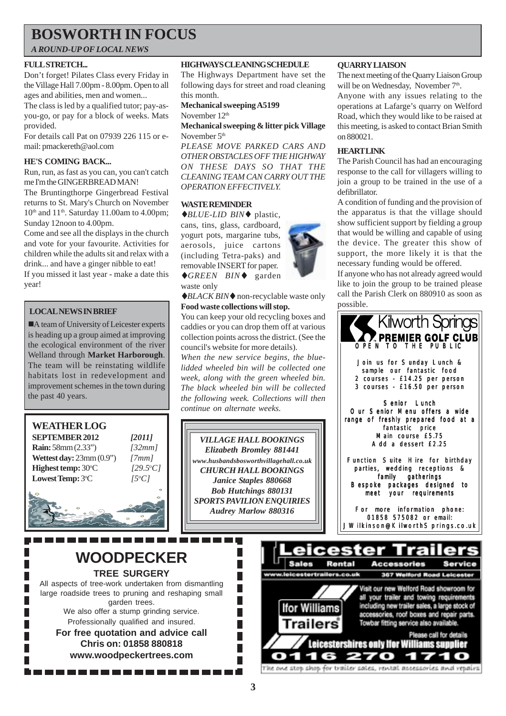## **BOSWORTH IN FOCUS**

*A ROUND-UP OF LOCAL NEWS*

#### **FULL STRETCH...**

Don't forget! Pilates Class every Friday in the Village Hall 7.00pm - 8.00pm. Open to all ages and abilities, men and women...

The class is led by a qualified tutor; pay-asyou-go, or pay for a block of weeks. Mats provided.

For details call Pat on 07939 226 115 or email: pmackereth@aol.com

#### **HE'S COMING BACK...**

Run, run, as fast as you can, you can't catch me I'm the GINGERBREAD MAN!

The Bruntingthorpe Gingerbread Festival returns to St. Mary's Church on November  $10<sup>th</sup>$  and  $11<sup>th</sup>$ . Saturday 11.00am to 4.00pm; Sunday 12noon to 4.00pm.

Come and see all the displays in the church and vote for your favourite. Activities for children while the adults sit and relax with a drink... and have a ginger nibble to eat!

If you missed it last year - make a date this year!

#### **LOCAL NEWS IN BRIEF**

■A team of University of Leicester experts is heading up a group aimed at improving the ecological environment of the river Welland through **Market Harborough**. The team will be reinstating wildlife habitats lost in redevelopment and improvement schemes in the town during the past 40 years.

#### **WEATHER LOG SEPTEMBER 2012** *[2011]*

**Rain:** 58mm (2.33") *[32mm]* **Wettest day:** 23mm (0.9") *[7mm]* **Highest temp:** 30°C Lowest Temp: 3°C

C *[29.5o C]* C *[5o C]*

**WOODPECKER TREE SURGERY** All aspects of tree-work undertaken from dismantling large roadside trees to pruning and reshaping small garden trees. We also offer a stump grinding service. Professionally qualified and insured. **For free quotation and advice call Chris on: 01858 880818 www.woodpeckertrees.com**

#### **HIGHWAYS CLEANING SCHEDULE**

The Highways Department have set the following days for street and road cleaning this month.

**Mechanical sweeping A5199** November 12<sup>th</sup>

**Mechanical sweeping & litter pick Village** November 5<sup>th</sup>

*PLEASE MOVE PARKED CARS AND OTHER OBSTACLES OFF THE HIGHWAY ON THESE DAYS SO THAT THE CLEANING TEAM CAN CARRY OUT THE OPERATION EFFECTIVELY.*

#### **WASTE REMINDER**

♦*BLUE-LID BIN*♦ plastic, cans, tins, glass, cardboard, yogurt pots, margarine tubs, aerosols, juice cartons (including Tetra-paks) and removable INSERT for paper.

♦*GREEN BIN*♦ garden waste only

♦*BLACK BIN*♦ non-recyclable waste only **Food waste collections will stop.**

You can keep your old recycling boxes and caddies or you can drop them off at various collection points across the district. (See the council's website for more details).

*When the new service begins, the bluelidded wheeled bin will be collected one week, along with the green wheeled bin. The black wheeled bin will be collected the following week. Collections will then continue on alternate weeks.*

*VILLAGE HALL BOOKINGS Elizabeth Bromley 881441 www.husbandsbosworthvillagehall.co.uk CHURCH HALL BOOKINGS Janice Staples 880668 Bob Hutchings 880131 SPORTS PAVILION ENQUIRIES Audrey Marlow 880316*

П

П T.

 $\overline{\phantom{a}}$ 

П

 $\overline{\phantom{a}}$ 



The next meeting of the Quarry Liaison Group will be on Wednesday, November  $7<sup>th</sup>$ .

Anyone with any issues relating to the operations at Lafarge's quarry on Welford Road, which they would like to be raised at this meeting, is asked to contact Brian Smith on 880021.

#### **HEARTLINK**

The Parish Council has had an encouraging response to the call for villagers willing to join a group to be trained in the use of a defibrillator.

A condition of funding and the provision of the apparatus is that the village should show sufficient support by fielding a group that would be willing and capable of using the device. The greater this show of support, the more likely it is that the necessary funding would be offered.

If anyone who has not already agreed would like to join the group to be trained please call the Parish Clerk on 880910 as soon as possible.





'he one stop shop for trailer sales, rental accessories and repai

**3**

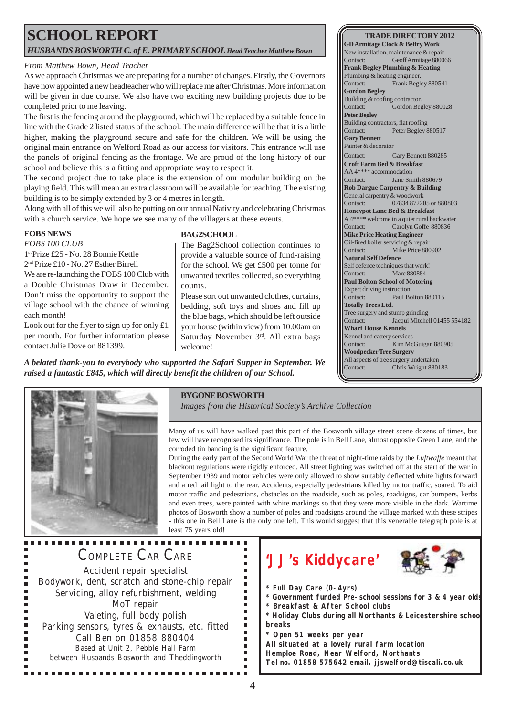### **SCHOOL REPORT** *HUSBANDS BOSWORTH C. of E. PRIMARY SCHOOL Head Teacher Matthew Bown*

#### *From Matthew Bown, Head Teacher*

As we approach Christmas we are preparing for a number of changes. Firstly, the Governors have now appointed a new headteacher who will replace me after Christmas. More information will be given in due course. We also have two exciting new building projects due to be completed prior to me leaving.

The first is the fencing around the playground, which will be replaced by a suitable fence in line with the Grade 2 listed status of the school. The main difference will be that it is a little higher, making the playground secure and safe for the children. We will be using the original main entrance on Welford Road as our access for visitors. This entrance will use the panels of original fencing as the frontage. We are proud of the long history of our school and believe this is a fitting and appropriate way to respect it.

The second project due to take place is the extension of our modular building on the playing field. This will mean an extra classroom will be available for teaching. The existing building is to be simply extended by 3 or 4 metres in length.

Along with all of this we will also be putting on our annual Nativity and celebrating Christmas with a church service. We hope we see many of the villagers at these events.

#### **FOBS NEWS**

*FOBS 100 CLUB*

1st Prize £25 - No. 28 Bonnie Kettle 2nd Prize £10 - No. 27 Esther Birrell

We are re-launching the FOBS 100 Club with a Double Christmas Draw in December. Don't miss the opportunity to support the

village school with the chance of winning each month!

Look out for the flyer to sign up for only  $£1$ per month. For further information please contact Julie Dove on 881399.

#### **BAG2SCHOOL**

The Bag2School collection continues to provide a valuable source of fund-raising for the school. We get £500 per tonne for unwanted textiles collected, so everything counts.

Please sort out unwanted clothes, curtains, bedding, soft toys and shoes and fill up the blue bags, which should be left outside your house (within view) from 10.00am on Saturday November 3rd. All extra bags welcome!

*A belated thank-you to everybody who supported the Safari Supper in September. We raised a fantastic £845, which will directly benefit the children of our School.*



#### **BYGONE BOSWORTH**

*Images from the Historical Society's Archive Collection*

Many of us will have walked past this part of the Bosworth village street scene dozens of times, but few will have recognised its significance. The pole is in Bell Lane, almost opposite Green Lane, and the corroded tin banding is the significant feature.

During the early part of the Second World War the threat of night-time raids by the *Luftwaffe* meant that blackout regulations were rigidly enforced. All street lighting was switched off at the start of the war in September 1939 and motor vehicles were only allowed to show suitably deflected white lights forward and a red tail light to the rear. Accidents, especially pedestrians killed by motor traffic, soared. To aid motor traffic and pedestrians, obstacles on the roadside, such as poles, roadsigns, car bumpers, kerbs and even trees, were painted with white markings so that they were more visible in the dark. Wartime photos of Bosworth show a number of poles and roadsigns around the village marked with these stripes - this one in Bell Lane is the only one left. This would suggest that this venerable telegraph pole is at

least 75 years old!

# COMPLETE CAR CARE

Accident repair specialist Bodywork, dent, scratch and stone-chip repair Servicing, alloy refurbishment, welding MoT repair Valeting, full body polish Parking sensors, tyres & exhausts, etc. fitted Call Ben on 01858 880404 Based at Unit 2, Pebble Hall Farm between Husbands Bosworth and Theddingworth

# **'JJ's Kiddycare'**



**TRADE DIRECTORY 2012**

Geoff Armitage 880066

**GD Armitage Clock & Belfry Work** New installation, maintenance & repair<br>Contact: Geoff Armitage 8800

**Frank Begley Plumbing & Heating** Plumbing & heating engineer. Contact: Frank Begley 880541

Contact: Gordon Begley 880028

Contact: Gary Bennett 880285 **Croft Farm Bed & Breakfast** AA 4\*\*\*\* accommodation Contact: Jane Smith 880679 **Rob Dargue Carpentry & Building** General carpentry & woodwork

Contact: 07834 872205 or 880803 **Honeypot Lane Bed & Breakfast** A 4\*\*\*\* welcome in a quiet rural backwater Contact: Carolyn Goffe 880836 **Mike Price Heating Engineer** Oil-fired boiler servicing & repair Contact: Mike Price 880902

Contact: Paul Bolton 880115

Contact: Kim McGuigan 880905

Jacqui Mitchell 01455 554182

Tree surgery and stump grinding<br>Contact: Lacqui Mitchel

Building & roofing contractor.

Building contractors, flat roofing Contact: Peter Begley 880517

**Gordon Begley**

**Peter Begley**

**Gary Bennett** Painter & decorator

**Natural Self Defence** Self defence techniques that work! Contact: Marc 880884 **Paul Bolton School of Motoring** Expert driving instruction

**Totally Trees Ltd.**

**Wharf House Kennels** Kennel and cattery services

**Woodpecker Tree Surgery** All aspects of tree surgery undertaken Contact: Chris Wright 880183

- **\* Full Day Care (0-4yrs)**
- **\* Government funded Pre-school sessions for 3 & 4 year olds \* Breakfast & After School clubs**
- **\* Holiday Clubs during all Northants & Leicestershire school**
- **breaks**
- **\* Open 51 weeks per year**

**All situated at a lovely rural farm location**

**Hemploe Road, Near Welford, Northants**

**Tel no. 01858 575642 email. jjswelford@tiscali.co.uk**

 $\blacksquare$ 

 $\blacksquare$  $\blacksquare$  $\blacksquare$  $\blacksquare$  $\blacksquare$  $\blacksquare$  $\blacksquare$  $\blacksquare$  $\blacksquare$  $\blacksquare$  $\blacksquare$  $\blacksquare$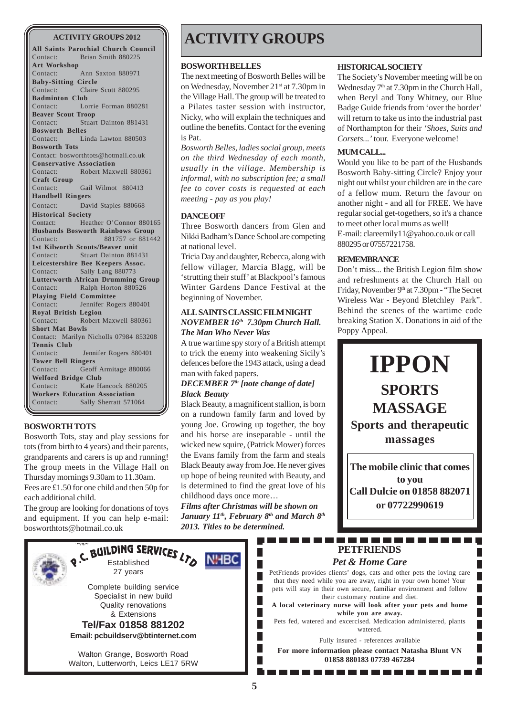**All Saints Parochial Church Council** Contact: Brian Smith 880225 **Art Workshop** Contact: Ann Saxton 880971 **Baby-Sitting Circle** Contact: Claire Scott 880295 **Badminton Club** Contact: Lorrie Forman 880281 **Beaver Scout Troop** Contact: Stuart Dainton 881431 **Bosworth Belles** Contact: Linda Lawton 880503 **Bosworth Tots** Contact: bosworthtots@hotmail.co.uk **Conservative Association** Contact: Robert Maxwell 880361 **Craft Group** Contact: Gail Wilmot 880413 **Handbell Ringers** Contact: David Staples 880668 **Historical Society** Contact: Heather O'Connor 880165 **Husbands Bosworth Rainbows Group** Contact: 881757 or 881442 **1st Kilworth Scouts/Beaver unit** Contact: Stuart Dainton 881431 **Leicestershire Bee Keepers Assoc.** Contact: Sally Lang 880773 **Lutterworth African Drumming Group** Contact: Ralph Horton 880526 **Playing Field Committee** Contact: Jennifer Rogers 880401 **Royal British Legion** Contact: Robert Maxwell 880361 **Short Mat Bowls** Contact: Marilyn Nicholls 07984 853208 **Tennis Club** Contact: Jennifer Rogers 880401 **Tower Bell Ringers** Contact: Geoff Armitage 880066 **Welford Bridge Club** Contact: Kate Hancock 880205 **Workers Education Association** Contact: Sally Sherratt 571064

#### **BOSWORTH TOTS**

Bosworth Tots, stay and play sessions for tots (from birth to 4 years) and their parents, grandparents and carers is up and running! The group meets in the Village Hall on Thursday mornings 9.30am to 11.30am. Fees are £1.50 for one child and then 50p for each additional child.

The group are looking for donations of toys and equipment. If you can help e-mail: bosworthtots@hotmail.co.uk

### **ACTIVITY GROUPS 2012 ACTIVITY GROUPS**

#### **BOSWORTH BELLES**

The next meeting of Bosworth Belles will be on Wednesday, November 21st at 7.30pm in the Village Hall. The group will be treated to a Pilates taster session with instructor, Nicky, who will explain the techniques and outline the benefits. Contact for the evening is Pat.

*Bosworth Belles, ladies social group, meets on the third Wednesday of each month, usually in the village. Membership is informal, with no subscription fee; a small fee to cover costs is requested at each meeting - pay as you play!*

#### **DANCE OFF**

Three Bosworth dancers from Glen and Nikki Badham's Dance School are competing at national level.

Tricia Day and daughter, Rebecca, along with fellow villager, Marcia Blagg, will be 'strutting their stuff' at Blackpool's famous Winter Gardens Dance Festival at the beginning of November.

#### **ALL SAINTS CLASSIC FILM NIGHT** *NOVEMBER 16th 7.30pm Church Hall. The Man Who Never Was*

A true wartime spy story of a British attempt to trick the enemy into weakening Sicily's defences before the 1943 attack, using a dead man with faked papers.

#### *DECEMBER 7th [note change of date] Black Beauty*

Black Beauty, a magnificent stallion, is born on a rundown family farm and loved by young Joe. Growing up together, the boy and his horse are inseparable - until the wicked new squire, (Patrick Mower) forces the Evans family from the farm and steals Black Beauty away from Joe. He never gives up hope of being reunited with Beauty, and is determined to find the great love of his childhood days once more…

*Films after Christmas will be shown on* January 11<sup>th</sup>, February 8<sup>th</sup> and March 8<sup>th</sup> *2013. Titles to be determined.*

> L Г

> Г

Г

**NHBC** 

<u> El espera</u>

#### **HISTORICAL SOCIETY**

The Society's November meeting will be on Wednesday 7<sup>th</sup> at 7.30pm in the Church Hall, when Beryl and Tony Whitney, our Blue Badge Guide friends from 'over the border' will return to take us into the industrial past of Northampton for their *'Shoes, Suits and Corsets...'* tour. Everyone welcome!

#### **MUM CALL...**

Would you like to be part of the Husbands Bosworth Baby-sitting Circle? Enjoy your night out whilst your children are in the care of a fellow mum. Return the favour on another night - and all for FREE. We have regular social get-togethers, so it's a chance to meet other local mums as well! E-mail: clareemily11@yahoo.co.uk or call 880295 or 07557221758.

#### **REMEMBRANCE**

Don't miss... the British Legion film show and refreshments at the Church Hall on Friday, November 9<sup>th</sup> at 7.30pm - "The Secret Wireless War - Beyond Bletchley Park". Behind the scenes of the wartime code breaking Station X. Donations in aid of the Poppy Appeal.

**IPPON SPORTS MASSAGE Sports and therapeutic massages**

**The mobile clinic that comes to you Call Dulcie on 01858 882071 or 07722990619**

П

П

### **PETFRIENDS** *Pet & Home Care*

PetFriends provides clients' dogs, cats and other pets the loving care that they need while you are away, right in your own home! Your pets will stay in their own secure, familiar environment and follow their customary routine and diet. **A local veterinary nurse will look after your pets and home while you are away.**

Pets fed, watered and excercised. Medication administered, plants watered.

Fully insured - references available

**For more information please contact Natasha Blunt VN 01858 880183 07739 467284**



Complete building service Specialist in new build Quality renovations & Extensions **Tel/Fax 01858 881202 Email: pcbuildserv@btinternet.com**

27 years

**Established** SERVICES LTO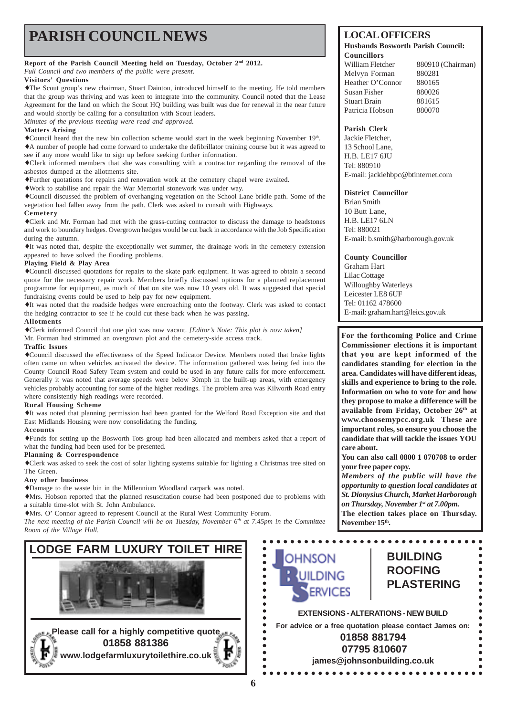# **PARISH COUNCIL NEWS** LOCAL OFFICERS

#### **Report of the Parish Council Meeting held on Tuesday, October 2nd 2012.**

*Full Council and two members of the public were present.*

#### **Visitors' Questions**

♦The Scout group's new chairman, Stuart Dainton, introduced himself to the meeting. He told members that the group was thriving and was keen to integrate into the community. Council noted that the Lease Agreement for the land on which the Scout HQ building was built was due for renewal in the near future and would shortly be calling for a consultation with Scout leaders.

*Minutes of the previous meeting were read and approved.*

#### **Matters Arising**

♦Council heard that the new bin collection scheme would start in the week beginning November 19th. ♦A number of people had come forward to undertake the defibrillator training course but it was agreed to see if any more would like to sign up before seeking further information.

♦Clerk informed members that she was consulting with a contractor regarding the removal of the asbestos dumped at the allotments site.

♦Further quotations for repairs and renovation work at the cemetery chapel were awaited.

♦Work to stabilise and repair the War Memorial stonework was under way.

♦Council discussed the problem of overhanging vegetation on the School Lane bridle path. Some of the vegetation had fallen away from the path. Clerk was asked to consult with Highways.

#### **Cemetery**

♦Clerk and Mr. Forman had met with the grass-cutting contractor to discuss the damage to headstones and work to boundary hedges. Overgrown hedges would be cut back in accordance with the Job Specification during the autumn.

♦It was noted that, despite the exceptionally wet summer, the drainage work in the cemetery extension appeared to have solved the flooding problems.

#### **Playing Field & Play Area**

♦Council discussed quotations for repairs to the skate park equipment. It was agreed to obtain a second quote for the necessary repair work. Members briefly discussed options for a planned replacement programme for equipment, as much of that on site was now 10 years old. It was suggested that special fundraising events could be used to help pay for new equipment.

♦It was noted that the roadside hedges were encroaching onto the footway. Clerk was asked to contact the hedging contractor to see if he could cut these back when he was passing.

#### **Allotments**

♦Clerk informed Council that one plot was now vacant. *[Editor's Note: This plot is now taken]*

Mr. Forman had strimmed an overgrown plot and the cemetery-side access track.

#### **Traffic Issues**

♦Council discussed the effectiveness of the Speed Indicator Device. Members noted that brake lights often came on when vehicles activated the device. The information gathered was being fed into the County Council Road Safety Team system and could be used in any future calls for more enforcement. Generally it was noted that average speeds were below 30mph in the built-up areas, with emergency vehicles probably accounting for some of the higher readings. The problem area was Kilworth Road entry where consistently high readings were recorded.

#### **Rural Housing Scheme**

♦It was noted that planning permission had been granted for the Welford Road Exception site and that East Midlands Housing were now consolidating the funding.

#### **Accounts**

♦Funds for setting up the Bosworth Tots group had been allocated and members asked that a report of what the funding had been used for be presented.

#### **Planning & Correspondence**

♦Clerk was asked to seek the cost of solar lighting systems suitable for lighting a Christmas tree sited on The Green.

#### **Any other business**

♦Damage to the waste bin in the Millennium Woodland carpark was noted.

♦Mrs. Hobson reported that the planned resuscitation course had been postponed due to problems with a suitable time-slot with St. John Ambulance.

♦Mrs. O' Connor agreed to represent Council at the Rural West Community Forum.

*The next meeting of the Parish Council will be on Tuesday, November*  $6<sup>th</sup>$  *at 7.45pm in the Committee Room of the Village Hall.*



#### **Husbands Bosworth Parish Council: Councillors**

William Fletcher 880910 (Chairman) Melvyn Forman 880281 Heather O'Connor 880165 Susan Fisher 880026 Stuart Brain 881615 Patricia Hobson 880070

#### **Parish Clerk**

Jackie Fletcher, 13 School Lane, HR LE17 6JU Tel: 880910 E-mail: jackiehbpc@btinternet.com

#### **District Councillor**

Brian Smith 10 Butt Lane, H.B. LE17 6LN Tel: 880021 E-mail: b.smith@harborough.gov.uk

**County Councillor** Graham Hart Lilac Cottage Willoughby Waterleys Leicester LE8 6UF Tel: 01162 478600 E-mail: graham.hart@leics.gov.uk

**For the forthcoming Police and Crime Commissioner elections it is important that you are kept informed of the candidates standing for election in the area. Candidates will have different ideas, skills and experience to bring to the role. Information on who to vote for and how they propose to make a difference will be available from Friday, October 26th at www.choosemypcc.org.uk These are important roles, so ensure you choose the candidate that will tackle the issues YOU care about.**

**You can also call 0800 1 070708 to order your free paper copy.**

*Members of the public will have the opportunity to question local candidates at St. Dionysius Church, Market Harborough on Thursday, November 1st at 7.00pm.* **The election takes place on Thursday.** November 15<sup>th</sup>.

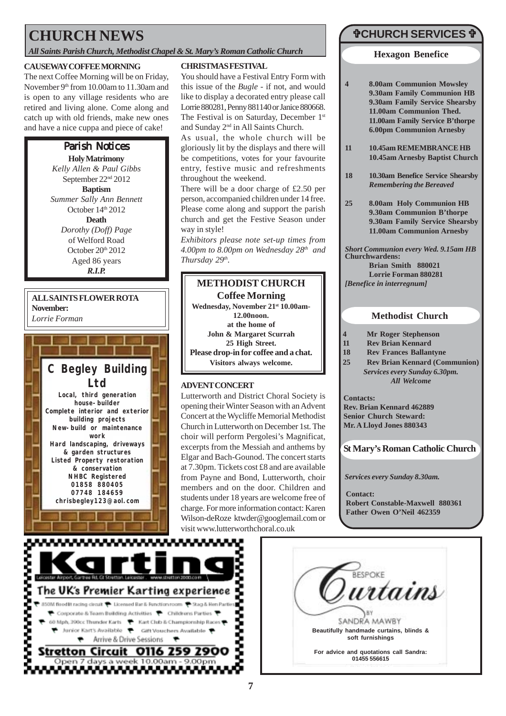## **CHURCH NEWS**

*All Saints Parish Church, Methodist Chapel & St. Mary's Roman Catholic Church*

#### **CAUSEWAY COFFEE MORNING**

The next Coffee Morning will be on Friday, November 9<sup>th</sup> from 10.00am to 11.30am and is open to any village residents who are retired and living alone. Come along and catch up with old friends, make new ones and have a nice cuppa and piece of cake!

### Parish Notices

**Holy Matrimony** *Kelly Allen & Paul Gibbs* September 22nd 2012 **Baptism** *Summer Sally Ann Bennett* October 14<sup>th</sup> 2012 **Death** *Dorothy (Doff) Page* of Welford Road October  $20<sup>th</sup>$   $2012$ Aged 86 years *R.I.P.*

### **ALL SAINTS FLOWER ROTA November:**



#### **CHRISTMAS FESTIVAL**

You should have a Festival Entry Form with this issue of the *Bugle* - if not, and would like to display a decorated entry please call Lorrie 880281, Penny 881140 or Janice 880668. The Festival is on Saturday, December 1st and Sunday 2nd in All Saints Church.

As usual, the whole church will be gloriously lit by the displays and there will be competitions, votes for your favourite entry, festive music and refreshments throughout the weekend.

There will be a door charge of £2.50 per person, accompanied children under 14 free. Please come along and support the parish church and get the Festive Season under way in style!

*Exhibitors please note set-up times from 4.00pm to 8.00pm on Wednesday 28th and Thursday 29th.*

## **METHODIST CHURCH**

**Coffee Morning Wednesday, November 21st 10.00am-12.00noon. at the home of John & Margaret Scurrah 25 High Street. Please drop-in for coffee and a chat. Visitors always welcome.** *Lorrie Forman*  $\parallel \parallel$  12.00 noon.  $\parallel \parallel$  **Methodist Church** 

### **ADVENT CONCERT**

Lutterworth and District Choral Society is opening their Winter Season with an Advent Concert at the Wycliffe Memorial Methodist Church in Lutterworth on December 1st. The choir will perform Pergolesi's Magnificat, excerpts from the Messiah and anthems by Elgar and Bach-Gounod. The concert starts at 7.30pm. Tickets cost £8 and are available from Payne and Bond, Lutterworth, choir members and on the door. Children and students under 18 years are welcome free of charge. For more information contact: Karen Wilson-deRoze ktwder@googlemail.com or visit www.lutterworthchoral.co.uk

### "**CHURCH SERVICES** "

#### **Hexagon Benefice**

- **4 8.00am Communion Mowsley 9.30am Family Communion HB 9.30am Family Service Shearsby 11.00am Communion Thed. 11.00am Family Service B'thorpe 6.00pm Communion Arnesby**
- **11 10.45am REMEMBRANCE HB 10.45am Arnesby Baptist Church**
- **18 10.30am Benefice Service Shearsby** *Remembering the Bereaved*
- **25 8.00am Holy Communion HB 9.30am Communion B'thorpe 9.30am Family Service Shearsby 11.00am Communion Arnesby**

**Churchwardens: Brian Smith 880021 Lorrie Forman 880281** *[Benefice in interregnum] Short Communion every Wed. 9.15am HB*

- **4 Mr Roger Stephenson**
- **11 Rev Brian Kennard**
- **18 Rev Frances Ballantyne**
- **25 Rev Brian Kennard (Communion)** *Services every Sunday 6.30pm. All Welcome*

**Contacts: Rev. Brian Kennard 462889 Senior Church Steward: Mr. A Lloyd Jones 880343**

**St Mary's Roman Catholic Church**

*Services every Sunday 8.30am.*

**Contact: Robert Constable-Maxwell 880361 Father Owen O'Neil 462359**